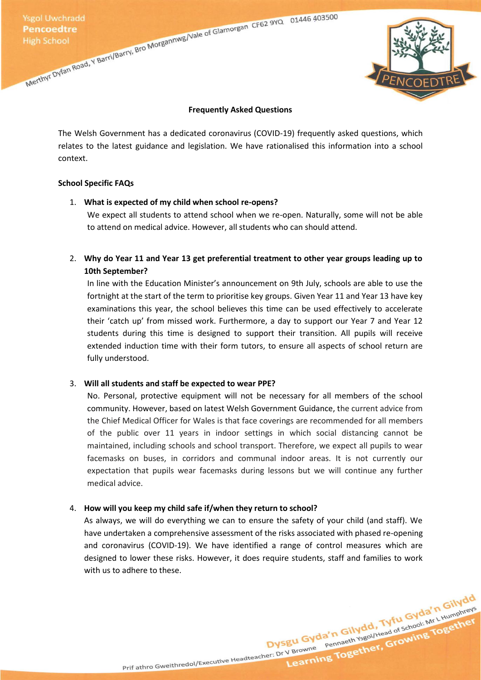

#### **Frequently Asked Questions**

The Welsh Government has a dedicated coronavirus (COVID-19) frequently asked questions, which relates to the latest guidance and legislation. We have rationalised this information into a school context.

#### **School Specific FAQs**

#### 1. **What is expected of my child when school re-opens?**

We expect all students to attend school when we re-open. Naturally, some will not be able to attend on medical advice. However, all students who can should attend.

2. **Why do Year 11 and Year 13 get preferential treatment to other year groups leading up to 10th September?**

In line with the Education Minister's announcement on 9th July, schools are able to use the fortnight at the start of the term to prioritise key groups. Given Year 11 and Year 13 have key examinations this year, the school believes this time can be used effectively to accelerate their 'catch up' from missed work. Furthermore, a day to support our Year 7 and Year 12 students during this time is designed to support their transition. All pupils will receive extended induction time with their form tutors, to ensure all aspects of school return are fully understood.

#### 3. **Will all students and staff be expected to wear PPE?**

No. Personal, protective equipment will not be necessary for all members of the school community. However, based on latest Welsh Government Guidance, the current advice from the Chief Medical Officer for Wales is that face coverings are recommended for all members of the public over 11 years in indoor settings in which social distancing cannot be maintained, including schools and school transport. Therefore, we expect all pupils to wear facemasks on buses, in corridors and communal indoor areas. It is not currently our expectation that pupils wear facemasks during lessons but we will continue any further medical advice.

#### 4. **How will you keep my child safe if/when they return to school?**

As always, we will do everything we can to ensure the safety of your child (and staff). We have undertaken a comprehensive assessment of the risks associated with phased re-opening and coronavirus (COVID-19). We have identified a range of control measures which are designed to lower these risks. However, it does require students, staff and families to work with us to adhere to these.

Dysgu Gyda'n Gilydd, Tyfu Gyda'n Gilydd<br>Dysgu Gyda'n Gilydd, Tyfu Gyda'n Gilydd<br>Dysgu Gyda'n Gilydd, Tyfu Gyda'n L<sub>Humphreys</sub>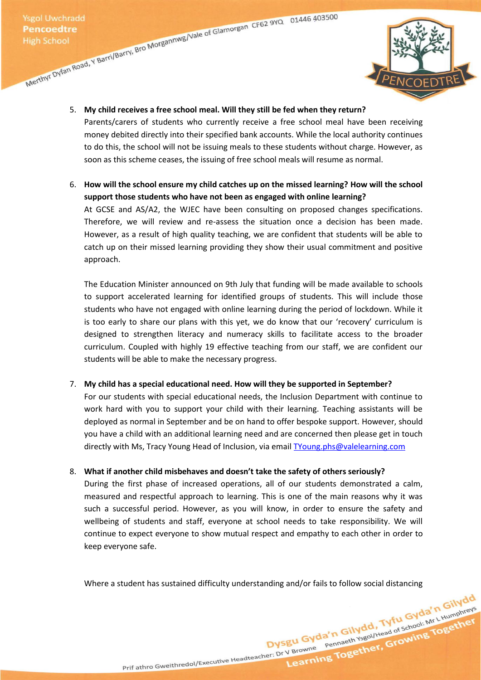

5. **My child receives a free school meal. Will they still be fed when they return?**

Parents/carers of students who currently receive a free school meal have been receiving money debited directly into their specified bank accounts. While the local authority continues to do this, the school will not be issuing meals to these students without charge. However, as soon as this scheme ceases, the issuing of free school meals will resume as normal.

6. **How will the school ensure my child catches up on the missed learning? How will the school support those students who have not been as engaged with online learning?**

At GCSE and AS/A2, the WJEC have been consulting on proposed changes specifications. Therefore, we will review and re-assess the situation once a decision has been made. However, as a result of high quality teaching, we are confident that students will be able to catch up on their missed learning providing they show their usual commitment and positive approach.

The Education Minister announced on 9th July that funding will be made available to schools to support accelerated learning for identified groups of students. This will include those students who have not engaged with online learning during the period of lockdown. While it is too early to share our plans with this yet, we do know that our 'recovery' curriculum is designed to strengthen literacy and numeracy skills to facilitate access to the broader curriculum. Coupled with highly 19 effective teaching from our staff, we are confident our students will be able to make the necessary progress.

## 7. **My child has a special educational need. How will they be supported in September?**

For our students with special educational needs, the Inclusion Department with continue to work hard with you to support your child with their learning. Teaching assistants will be deployed as normal in September and be on hand to offer bespoke support. However, should you have a child with an additional learning need and are concerned then please get in touch directly with Ms, Tracy Young Head of Inclusion, via email [TYoung.phs@valelearning.com](mailto:TYoung.phs@valelearning.com)

## 8. **What if another child misbehaves and doesn't take the safety of others seriously?**

During the first phase of increased operations, all of our students demonstrated a calm, measured and respectful approach to learning. This is one of the main reasons why it was such a successful period. However, as you will know, in order to ensure the safety and wellbeing of students and staff, everyone at school needs to take responsibility. We will continue to expect everyone to show mutual respect and empathy to each other in order to keep everyone safe.

Where a student has sustained difficulty understanding and/or fails to follow social distancing<br> $\frac{1}{100}$  and  $\frac{1}{100}$  and  $\frac{1}{100}$  and  $\frac{1}{100}$  and  $\frac{1}{100}$  and  $\frac{1}{100}$  and  $\frac{1}{100}$  and  $\frac{1}{100}$  a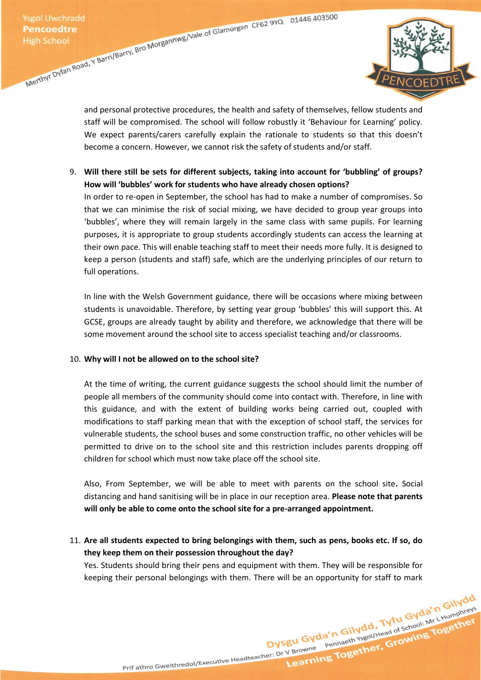

and personal protective procedures, the health and safety of themselves, fellow students and staff will be compromised. The school will follow robustly it 'Behaviour for Learning' policy. We expect parents/carers carefully explain the rationale to students so that this doesn't become a concern. However, we cannot risk the safety of students and/or staff.

9. **Will there still be sets for different subjects, taking into account for 'bubbling' of groups? How will 'bubbles' work for students who have already chosen options?**

In order to re-open in September, the school has had to make a number of compromises. So that we can minimise the risk of social mixing, we have decided to group year groups into 'bubbles', where they will remain largely in the same class with same pupils. For learning purposes, it is appropriate to group students accordingly students can access the learning at their own pace. This will enable teaching staff to meet their needs more fully. It is designed to keep a person (students and staff) safe, which are the underlying principles of our return to full operations.

In line with the Welsh Government guidance, there will be occasions where mixing between students is unavoidable. Therefore, by setting year group 'bubbles' this will support this. At GCSE, groups are already taught by ability and therefore, we acknowledge that there will be some movement around the school site to access specialist teaching and/or classrooms.

#### 10. **Why will I not be allowed on to the school site?**

At the time of writing, the current guidance suggests the school should limit the number of people all members of the community should come into contact with. Therefore, in line with this guidance, and with the extent of building works being carried out, coupled with modifications to staff parking mean that with the exception of school staff, the services for vulnerable students, the school buses and some construction traffic, no other vehicles will be permitted to drive on to the school site and this restriction includes parents dropping off children for school which must now take place off the school site.

Also, From September, we will be able to meet with parents on the school site**.** Social distancing and hand sanitising will be in place in our reception area. **Please note that parents will only be able to come onto the school site for a pre-arranged appointment.**

11. **Are all students expected to bring belongings with them, such as pens, books etc. If so, do they keep them on their possession throughout the day?**

Yes. Students should bring their pens and equipment with them. They will be responsible for keeping their personal belongings with them. There will be an opportunity for staff to mark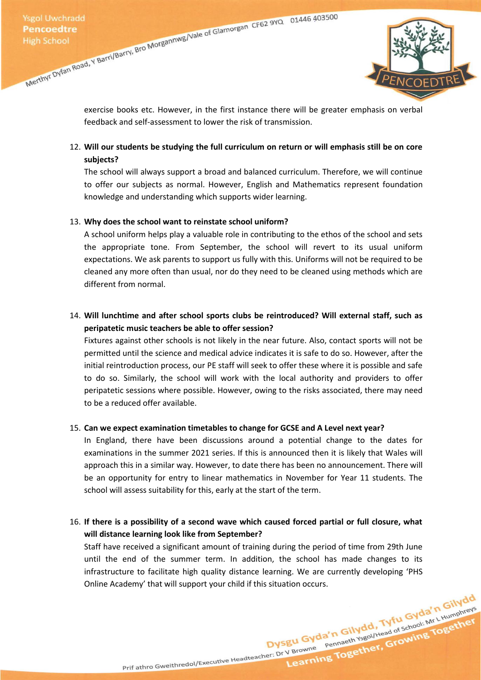

exercise books etc. However, in the first instance there will be greater emphasis on verbal feedback and self-assessment to lower the risk of transmission.

# 12. **Will our students be studying the full curriculum on return or will emphasis still be on core subjects?**

The school will always support a broad and balanced curriculum. Therefore, we will continue to offer our subjects as normal. However, English and Mathematics represent foundation knowledge and understanding which supports wider learning.

## 13. **Why does the school want to reinstate school uniform?**

A school uniform helps play a valuable role in contributing to the ethos of the school and sets the appropriate tone. From September, the school will revert to its usual uniform expectations. We ask parents to support us fully with this. Uniforms will not be required to be cleaned any more often than usual, nor do they need to be cleaned using methods which are different from normal.

# 14. **Will lunchtime and after school sports clubs be reintroduced? Will external staff, such as peripatetic music teachers be able to offer session?**

Fixtures against other schools is not likely in the near future. Also, contact sports will not be permitted until the science and medical advice indicates it is safe to do so. However, after the initial reintroduction process, our PE staff will seek to offer these where it is possible and safe to do so. Similarly, the school will work with the local authority and providers to offer peripatetic sessions where possible. However, owing to the risks associated, there may need to be a reduced offer available.

## 15. **Can we expect examination timetables to change for GCSE and A Level next year?**

In England, there have been discussions around a potential change to the dates for examinations in the summer 2021 series. If this is announced then it is likely that Wales will approach this in a similar way. However, to date there has been no announcement. There will be an opportunity for entry to linear mathematics in November for Year 11 students. The school will assess suitability for this, early at the start of the term.

# 16. **If there is a possibility of a second wave which caused forced partial or full closure, what will distance learning look like from September?**

Staff have received a significant amount of training during the period of time from 29th June until the end of the summer term. In addition, the school has made changes to its infrastructure to facilitate high quality distance learning. We are currently developing 'PHS Online Academy' that will support your child if this situation occurs.<br>Tuful Gyda'n Gilydd<br>Tuful Gyda'n Gilwel<sup>s</sup>